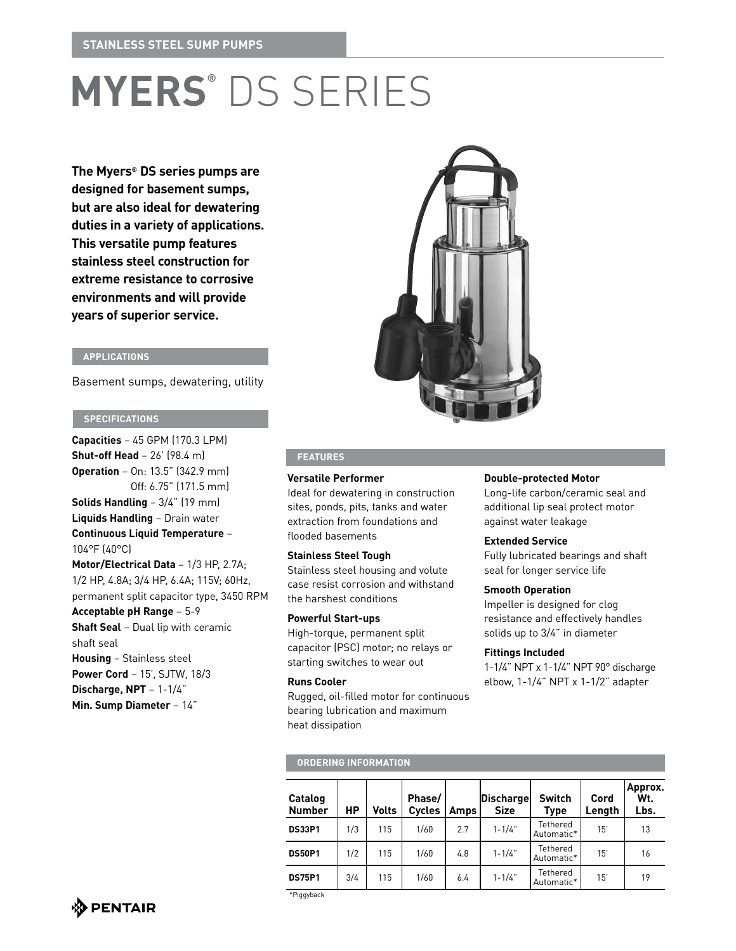# **MYERS®** DS SERIES

**The Myers® DS series pumps are designed for basement sumps, but are also ideal for dewatering duties in a variety of applications. This versatile pump features stainless steel construction for extreme resistance to corrosive environments and will provide years of superior service.** 

# **applications**

Basement sumps, dewatering, utility

# **specifications**

**Capacities** – 45 GPM (170.3 LPM) **Shut-off Head** – 26' (98.4 m) **Operation** – On: 13.5" (342.9 mm) Off: 6.75" (171.5 mm) **Solids Handling** – 3/4" (19 mm) **Liquids Handling** – Drain water **Continuous Liquid Temperature** – 104°F (40°C) **Motor/Electrical Data** – 1/3 HP, 2.7A; 1/2 HP, 4.8A; 3/4 HP, 6.4A; 115V; 60Hz, permanent split capacitor type, 3450 RPM **Acceptable pH Range** – 5-9 **Shaft Seal** – Dual lip with ceramic

shaft seal **Housing** – Stainless steel **Power Cord** – 15', SJTW, 18/3 **Discharge, NPT** – 1-1/4" **Min. Sump Diameter** – 14"



# **features**

#### **Versatile Performer**

Ideal for dewatering in construction sites, ponds, pits, tanks and water extraction from foundations and flooded basements

#### **Stainless Steel Tough**

Stainless steel housing and volute case resist corrosion and withstand the harshest conditions

# **Powerful Start-ups**

High-torque, permanent split capacitor (PSC) motor; no relays or starting switches to wear out

#### **Runs Cooler**

Rugged, oil-filled motor for continuous bearing lubrication and maximum heat dissipation

#### **Double-protected Motor**

Long-life carbon/ceramic seal and additional lip seal protect motor against water leakage

# **Extended Service**

Fully lubricated bearings and shaft seal for longer service life

# **Smooth Operation**

Impeller is designed for clog resistance and effectively handles solids up to 3/4" in diameter

#### **Fittings Included**

1-1/4" NPT x 1-1/4" NPT 90° discharge elbow, 1-1/4" NPT x 1-1/2" adapter

| Catalog<br><b>Number</b> | HР  | Volts | Phase/<br><b>Cycles</b> | Amps | <b>Discharge</b><br><b>Size</b> | <b>Switch</b><br>Type  | Cord<br>Length | Approx.<br>Wt.<br>Lbs. |
|--------------------------|-----|-------|-------------------------|------|---------------------------------|------------------------|----------------|------------------------|
| <b>DS33P1</b>            | 1/3 | 115   | 1/60                    | 2.7  | $1 - 1/4$ "                     | Tethered<br>Automatic* | 15'            | 13                     |
| <b>DS50P1</b>            | 1/2 | 115   | 1/60                    | 4.8  | $1 - 1/4$ "                     | Tethered<br>Automatic* | 15'            | 16                     |
| <b>DS75P1</b>            | 3/4 | 115   | 1/60                    | 6.4  | $1 - 1/4$ "                     | Tethered<br>Automatic* | 15'            | 19                     |
| *Piggyback               |     |       |                         |      |                                 |                        |                |                        |